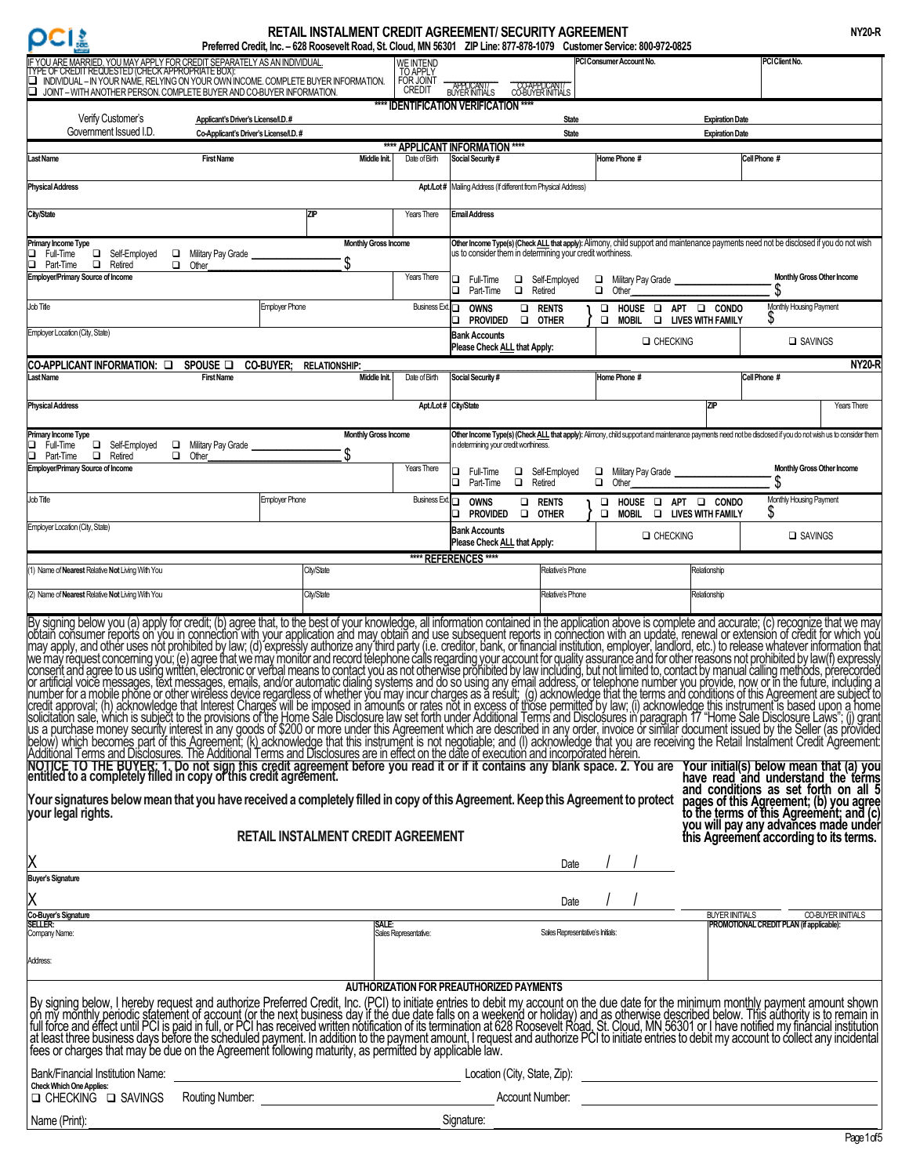# $OCI$

# **RETAIL INSTALMENT CREDIT AGREEMENT/ SECURITY AGREEMENT**

| u | e | ۰ |
|---|---|---|
|   |   |   |

| <b>CI&amp;</b>                                                                                                                                                                                                                                                                                                                                                                                                                                                                                                                                                                                                                                                                                                                                                                                                                                                                                                                                                                                                                                                                                                                                                                                                                                                                                                             | Preferred Credit, Inc. - 628 Roosevelt Road, St. Cloud, MN 56301 ZIP Line: 877-878-1079 Customer Service: 800-972-0825 |                                   |                                    | IN TAIL IN JALIMLIN LONLUIT AUN LLIMLIN I/ JLUUN ITTAUN LLIMLIN                                                                                                                                     |                                  |                           |                                                             |                        |                                          |                   |
|----------------------------------------------------------------------------------------------------------------------------------------------------------------------------------------------------------------------------------------------------------------------------------------------------------------------------------------------------------------------------------------------------------------------------------------------------------------------------------------------------------------------------------------------------------------------------------------------------------------------------------------------------------------------------------------------------------------------------------------------------------------------------------------------------------------------------------------------------------------------------------------------------------------------------------------------------------------------------------------------------------------------------------------------------------------------------------------------------------------------------------------------------------------------------------------------------------------------------------------------------------------------------------------------------------------------------|------------------------------------------------------------------------------------------------------------------------|-----------------------------------|------------------------------------|-----------------------------------------------------------------------------------------------------------------------------------------------------------------------------------------------------|----------------------------------|---------------------------|-------------------------------------------------------------|------------------------|------------------------------------------|-------------------|
| YOU ARE MARRIED, YOU MAY APPLY FOR CREDIT SEPARATELY AS AN INDIVIDUAL<br>E OF CREDIT REQUESTED (CHECK APPROPRIATE BOX):<br>INDIVIDUAL - IN YOUR NAME, RELYING ON YOUR OWN INCOME. COMPLETE BUYER INFORMATION.<br>u                                                                                                                                                                                                                                                                                                                                                                                                                                                                                                                                                                                                                                                                                                                                                                                                                                                                                                                                                                                                                                                                                                         |                                                                                                                        |                                   | WE INTEND<br>TO APPLY<br>FOR JOINT |                                                                                                                                                                                                     |                                  | PCI Consumer Account No.  |                                                             |                        | PCI Client No.                           |                   |
| o<br>JOINT - WITH ANOTHER PERSON. COMPLETE BUYER AND CO-BUYER INFORMATION.                                                                                                                                                                                                                                                                                                                                                                                                                                                                                                                                                                                                                                                                                                                                                                                                                                                                                                                                                                                                                                                                                                                                                                                                                                                 |                                                                                                                        |                                   | CREDIT                             | APPLICANT/<br>BUYER INITIALS<br>CO-APPLICANI/<br>CO-BUYER INITIALS<br>**** IDENTIFICATION VERIFICATION ****                                                                                         |                                  |                           |                                                             |                        |                                          |                   |
| Verify Customer's                                                                                                                                                                                                                                                                                                                                                                                                                                                                                                                                                                                                                                                                                                                                                                                                                                                                                                                                                                                                                                                                                                                                                                                                                                                                                                          | Applicant's Driver's License/I.D.#                                                                                     |                                   |                                    |                                                                                                                                                                                                     | <b>State</b>                     |                           |                                                             | <b>Expiration Date</b> |                                          |                   |
| Government Issued I.D.                                                                                                                                                                                                                                                                                                                                                                                                                                                                                                                                                                                                                                                                                                                                                                                                                                                                                                                                                                                                                                                                                                                                                                                                                                                                                                     | Co-Applicant's Driver's License/I.D.#                                                                                  |                                   |                                    | <b>APPLICANT INFORMATION ****</b>                                                                                                                                                                   | <b>State</b>                     |                           |                                                             | <b>Expiration Date</b> |                                          |                   |
| ast Name                                                                                                                                                                                                                                                                                                                                                                                                                                                                                                                                                                                                                                                                                                                                                                                                                                                                                                                                                                                                                                                                                                                                                                                                                                                                                                                   | <b>First Name</b>                                                                                                      | Middle Init.                      | Date of Birth                      | Social Security #                                                                                                                                                                                   |                                  | Home Phone #              |                                                             |                        | Cell Phone #                             |                   |
| <b>Physical Address</b>                                                                                                                                                                                                                                                                                                                                                                                                                                                                                                                                                                                                                                                                                                                                                                                                                                                                                                                                                                                                                                                                                                                                                                                                                                                                                                    |                                                                                                                        |                                   |                                    | Apt./Lot# Mailing Address (If different from Physical Address)                                                                                                                                      |                                  |                           |                                                             |                        |                                          |                   |
| City/State                                                                                                                                                                                                                                                                                                                                                                                                                                                                                                                                                                                                                                                                                                                                                                                                                                                                                                                                                                                                                                                                                                                                                                                                                                                                                                                 | <b>ZIP</b>                                                                                                             |                                   | Years There                        | <b>Email Address</b>                                                                                                                                                                                |                                  |                           |                                                             |                        |                                          |                   |
| Primary Income Type<br>Full-Time<br>Self-Employed<br>□.<br>$\Box$<br>Part-Time<br>Retired                                                                                                                                                                                                                                                                                                                                                                                                                                                                                                                                                                                                                                                                                                                                                                                                                                                                                                                                                                                                                                                                                                                                                                                                                                  | Military Pay Grade<br>Other                                                                                            | <b>Monthly Gross Income</b><br>\$ |                                    | Other Income Type(s) (Check ALL that apply): Alimony, child support and maintenance payments need not be disclosed if you do not wish<br>us to consider them in determining your credit worthiness. |                                  |                           |                                                             |                        |                                          |                   |
| <b>Employer/Primary Source of Income</b>                                                                                                                                                                                                                                                                                                                                                                                                                                                                                                                                                                                                                                                                                                                                                                                                                                                                                                                                                                                                                                                                                                                                                                                                                                                                                   |                                                                                                                        |                                   | Years There                        | □ Full-Time<br>□ Self-Employed<br>$\Box$<br>Retired<br>□<br>Part-Time                                                                                                                               |                                  | □<br>$\Box$<br>Other      | Military Pay Grade                                          |                        | Monthly Gross Other Income<br>\$         |                   |
| Job Title                                                                                                                                                                                                                                                                                                                                                                                                                                                                                                                                                                                                                                                                                                                                                                                                                                                                                                                                                                                                                                                                                                                                                                                                                                                                                                                  | <b>Employer Phone</b>                                                                                                  |                                   | <b>Business Ext.</b>               | <b>OWNS</b><br>o<br>$\Box$<br>Provided<br>$\Box$<br>⊐                                                                                                                                               | <b>RENTS</b><br><b>OTHER</b>     | $\Box$                    | HOUSE LAPT LA CONDO<br><b>MOBIL</b>                         | LIVES WITH FAMILY      | Monthly Housing Payment                  |                   |
| Employer Location (City, State)                                                                                                                                                                                                                                                                                                                                                                                                                                                                                                                                                                                                                                                                                                                                                                                                                                                                                                                                                                                                                                                                                                                                                                                                                                                                                            |                                                                                                                        |                                   |                                    | <b>Bank Accounts</b><br>Please Check ALL that Apply:                                                                                                                                                |                                  |                           | <b>Q</b> CHECKING                                           |                        | □ SAVINGS                                |                   |
| CO-APPLICANT INFORMATION: □                                                                                                                                                                                                                                                                                                                                                                                                                                                                                                                                                                                                                                                                                                                                                                                                                                                                                                                                                                                                                                                                                                                                                                                                                                                                                                | SPOUSE <b>O</b><br><b>CO-BUYER; RELATIONSHIP:</b>                                                                      |                                   |                                    |                                                                                                                                                                                                     |                                  |                           |                                                             |                        |                                          | <b>NY20-R</b>     |
| ast Name                                                                                                                                                                                                                                                                                                                                                                                                                                                                                                                                                                                                                                                                                                                                                                                                                                                                                                                                                                                                                                                                                                                                                                                                                                                                                                                   | <b>First Name</b>                                                                                                      | Middle Init.                      | Date of Birth                      | Social Security #                                                                                                                                                                                   |                                  | Home Phone #              |                                                             |                        | Cell Phone #                             |                   |
| <b>Physical Address</b>                                                                                                                                                                                                                                                                                                                                                                                                                                                                                                                                                                                                                                                                                                                                                                                                                                                                                                                                                                                                                                                                                                                                                                                                                                                                                                    |                                                                                                                        |                                   |                                    | Apt./Lot# City/State                                                                                                                                                                                |                                  |                           |                                                             | ZP                     |                                          | Years There       |
| Primary Income Type                                                                                                                                                                                                                                                                                                                                                                                                                                                                                                                                                                                                                                                                                                                                                                                                                                                                                                                                                                                                                                                                                                                                                                                                                                                                                                        |                                                                                                                        | <b>Monthly Gross Income</b>       |                                    | Other Income Type(s) (Check ALL that apply): Alimony, child support and maintenance payments need not be disclosed if you do not wish us to consider them                                           |                                  |                           |                                                             |                        |                                          |                   |
| Full-Time<br>Self-Employed<br>$\Box$<br>$\Box$<br>$\Box$<br>Retired<br>Part-Time                                                                                                                                                                                                                                                                                                                                                                                                                                                                                                                                                                                                                                                                                                                                                                                                                                                                                                                                                                                                                                                                                                                                                                                                                                           | Military Pay Grade<br>Other                                                                                            |                                   |                                    | in determining your credit worthiness.                                                                                                                                                              |                                  |                           |                                                             |                        |                                          |                   |
| <b>Employer/Primary Source of Income</b>                                                                                                                                                                                                                                                                                                                                                                                                                                                                                                                                                                                                                                                                                                                                                                                                                                                                                                                                                                                                                                                                                                                                                                                                                                                                                   |                                                                                                                        |                                   | Years There                        | Full-Time<br>$\Box$<br>□<br>□<br>$\Box$<br>Part-Time<br>Retired                                                                                                                                     | Self-Employed                    | $\Box$<br>$\Box$<br>Other | Military Pay Grade                                          |                        | Monthly Gross Other Income               |                   |
| Job Title                                                                                                                                                                                                                                                                                                                                                                                                                                                                                                                                                                                                                                                                                                                                                                                                                                                                                                                                                                                                                                                                                                                                                                                                                                                                                                                  | <b>Employer Phone</b>                                                                                                  |                                   | <b>Business Ext.</b>               | O.<br><b>OWNS</b><br>$\Box$<br><b>PROVIDED</b><br>$\Box$                                                                                                                                            | <b>RENTS</b><br><b>OTHER</b>     | $\Box$                    | HOUSE <b>DI APT DI CONDO</b><br>O MOBIL O LIVES WITH FAMILY |                        | Monthly Housing Payment<br>S             |                   |
| Employer Location (City, State)                                                                                                                                                                                                                                                                                                                                                                                                                                                                                                                                                                                                                                                                                                                                                                                                                                                                                                                                                                                                                                                                                                                                                                                                                                                                                            |                                                                                                                        |                                   |                                    | <b>Bank Accounts</b><br>Please Check ALL that Apply:                                                                                                                                                |                                  |                           | <b>Q</b> CHECKING                                           |                        | □ SAVINGS                                |                   |
| 1) Name of Nearest Relative Not Living With You                                                                                                                                                                                                                                                                                                                                                                                                                                                                                                                                                                                                                                                                                                                                                                                                                                                                                                                                                                                                                                                                                                                                                                                                                                                                            |                                                                                                                        | City/State                        |                                    | **** REFERENCES ****                                                                                                                                                                                | Relative's Phone                 |                           |                                                             | Relationship           |                                          |                   |
|                                                                                                                                                                                                                                                                                                                                                                                                                                                                                                                                                                                                                                                                                                                                                                                                                                                                                                                                                                                                                                                                                                                                                                                                                                                                                                                            |                                                                                                                        |                                   |                                    |                                                                                                                                                                                                     |                                  |                           |                                                             |                        |                                          |                   |
| (2) Name of Nearest Relative Not Living With You                                                                                                                                                                                                                                                                                                                                                                                                                                                                                                                                                                                                                                                                                                                                                                                                                                                                                                                                                                                                                                                                                                                                                                                                                                                                           |                                                                                                                        | City/State                        |                                    |                                                                                                                                                                                                     | Relative's Phone                 |                           |                                                             | Relationship           |                                          |                   |
| By signing below you (a) apply for credit; (b) agree that, to the best of your knowledge, all information contained in the application above is complete and accurate; (c) recognize that we may<br>by the consumer reports on you in connection with your application and may obtain and use subsequent reports in connection with an update, renewal or extension of credit for which you<br>Imay apply, and other uses not prohibi<br>Finance to the Microsofte and Disclosures. The Additional Terms and Disclosures are in effect on the date of execution and incorporated herein.<br>In acknowledge that Interest Charges will be imposed in amounts or rates not i<br>NOTICE TO THE BUYER: 1. Do not sign this credit agreement before you read it or if it contains any blank space. 2. You are Your initial(s) below mean that (a) your end to a completely filled in copy of this credit agreemen<br>and conditions as set forth on all 5<br>Your signatures below mean that you have received a completely filled in copy of this Agreement. Keep this Agreement to protect<br>pages of this Agreement; (b) you agree<br>to the terms of this Agreement; and (c)<br>you will pay any advances made under<br>this Agreement according to its terms.<br>your legal rights.<br>RETAIL INSTALMENT CREDIT AGREEMENT |                                                                                                                        |                                   |                                    |                                                                                                                                                                                                     |                                  |                           |                                                             |                        |                                          |                   |
| Χ                                                                                                                                                                                                                                                                                                                                                                                                                                                                                                                                                                                                                                                                                                                                                                                                                                                                                                                                                                                                                                                                                                                                                                                                                                                                                                                          |                                                                                                                        |                                   |                                    |                                                                                                                                                                                                     | Date                             |                           |                                                             |                        |                                          |                   |
| <b>Buyer's Signature</b>                                                                                                                                                                                                                                                                                                                                                                                                                                                                                                                                                                                                                                                                                                                                                                                                                                                                                                                                                                                                                                                                                                                                                                                                                                                                                                   |                                                                                                                        |                                   |                                    |                                                                                                                                                                                                     |                                  |                           |                                                             |                        |                                          |                   |
| χ<br>Co-Buyer's Signature                                                                                                                                                                                                                                                                                                                                                                                                                                                                                                                                                                                                                                                                                                                                                                                                                                                                                                                                                                                                                                                                                                                                                                                                                                                                                                  |                                                                                                                        |                                   |                                    |                                                                                                                                                                                                     | Date                             |                           |                                                             |                        | BUYER IINITIALS                          | CO-BUYER INITIALS |
| <b>SELLER:</b><br>Company Name:                                                                                                                                                                                                                                                                                                                                                                                                                                                                                                                                                                                                                                                                                                                                                                                                                                                                                                                                                                                                                                                                                                                                                                                                                                                                                            |                                                                                                                        | SALE:                             | Sales Representative:              |                                                                                                                                                                                                     | Sales Representative's Initials: |                           |                                                             |                        | PROMOTIONAL CREDIT PLAN (if applicable): |                   |
| Address:                                                                                                                                                                                                                                                                                                                                                                                                                                                                                                                                                                                                                                                                                                                                                                                                                                                                                                                                                                                                                                                                                                                                                                                                                                                                                                                   |                                                                                                                        |                                   |                                    |                                                                                                                                                                                                     |                                  |                           |                                                             |                        |                                          |                   |
| By signing below, I hereby request and authorize Preferred Credit, Inc. (PCI) to initiate entries to debit my account on the due date for the minimum monthly payment amount shown<br>I on my monthly periodic statement of accou                                                                                                                                                                                                                                                                                                                                                                                                                                                                                                                                                                                                                                                                                                                                                                                                                                                                                                                                                                                                                                                                                          |                                                                                                                        |                                   |                                    | <b>AUTHORIZATION FOR PREAUTHORIZED PAYMENTS</b>                                                                                                                                                     |                                  |                           |                                                             |                        |                                          |                   |
| <b>Check Which One Applies:</b>                                                                                                                                                                                                                                                                                                                                                                                                                                                                                                                                                                                                                                                                                                                                                                                                                                                                                                                                                                                                                                                                                                                                                                                                                                                                                            |                                                                                                                        |                                   |                                    |                                                                                                                                                                                                     |                                  |                           |                                                             |                        |                                          |                   |
| O CHECKING O SAVINGS Routing Number:                                                                                                                                                                                                                                                                                                                                                                                                                                                                                                                                                                                                                                                                                                                                                                                                                                                                                                                                                                                                                                                                                                                                                                                                                                                                                       |                                                                                                                        |                                   |                                    |                                                                                                                                                                                                     |                                  |                           |                                                             |                        |                                          |                   |
| Name (Print):                                                                                                                                                                                                                                                                                                                                                                                                                                                                                                                                                                                                                                                                                                                                                                                                                                                                                                                                                                                                                                                                                                                                                                                                                                                                                                              |                                                                                                                        |                                   |                                    | Signature:                                                                                                                                                                                          |                                  |                           |                                                             |                        |                                          |                   |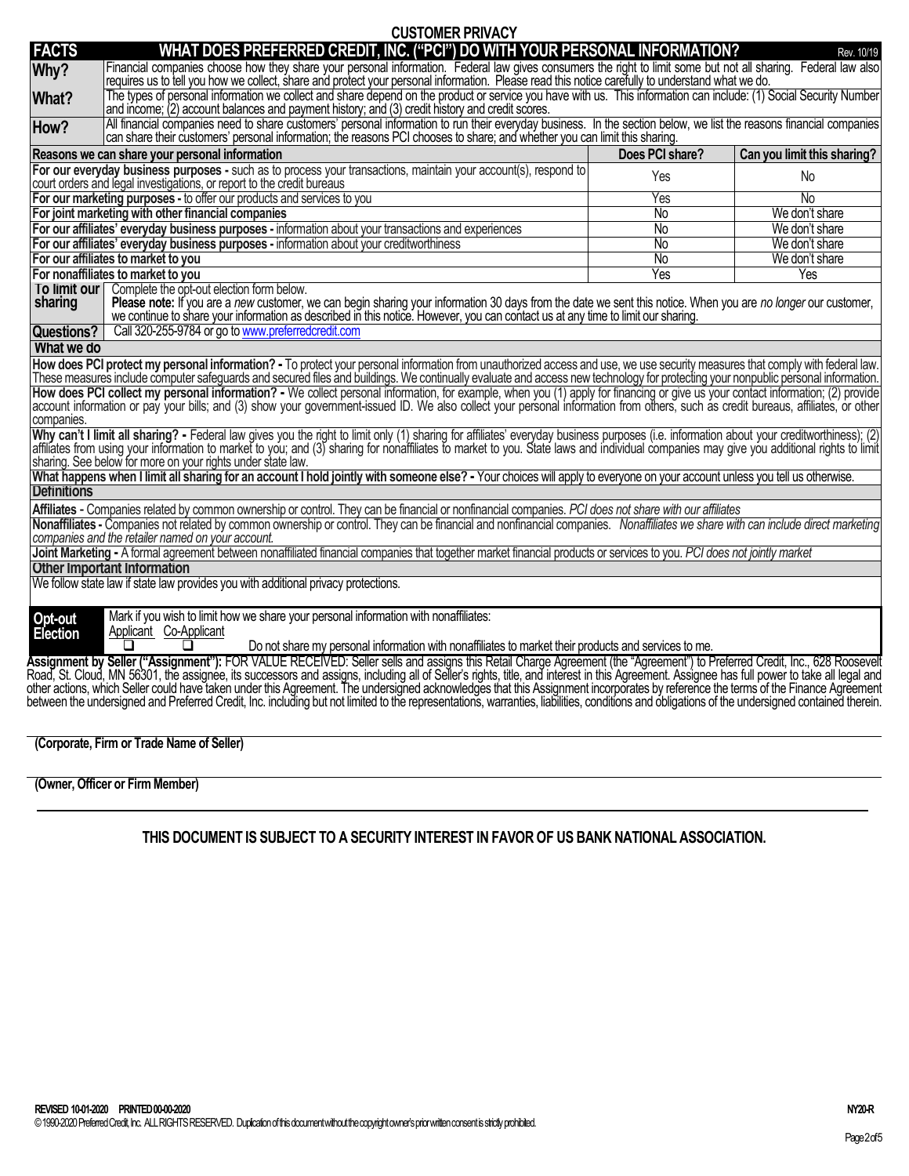|                                                                                                                                                                                                                                                                                                                                                                                                                                                                                                                                                                                                                                                                                                                                                                                                                                                                                                                                                                                                                                                            | <b>UUJIUIIEK FRIVAU I</b>                                                                                                                                                                                                                                                                                          |                 |                             |  |  |  |  |
|------------------------------------------------------------------------------------------------------------------------------------------------------------------------------------------------------------------------------------------------------------------------------------------------------------------------------------------------------------------------------------------------------------------------------------------------------------------------------------------------------------------------------------------------------------------------------------------------------------------------------------------------------------------------------------------------------------------------------------------------------------------------------------------------------------------------------------------------------------------------------------------------------------------------------------------------------------------------------------------------------------------------------------------------------------|--------------------------------------------------------------------------------------------------------------------------------------------------------------------------------------------------------------------------------------------------------------------------------------------------------------------|-----------------|-----------------------------|--|--|--|--|
| <b>FACTS</b>                                                                                                                                                                                                                                                                                                                                                                                                                                                                                                                                                                                                                                                                                                                                                                                                                                                                                                                                                                                                                                               | WHAT DOES PREFERRED CREDIT, INC. ("PCI") DO WITH YOUR PERSONAL INFORMATION?                                                                                                                                                                                                                                        |                 | Rev. 10/19                  |  |  |  |  |
| Why?                                                                                                                                                                                                                                                                                                                                                                                                                                                                                                                                                                                                                                                                                                                                                                                                                                                                                                                                                                                                                                                       | Financial companies choose how they share your personal information. Federal law gives consumers the right to limit some but not all sharing. Federal law also<br>requires us to tell you how we collect, share and protect your personal information. Please read this notice carefully to understand what we do. |                 |                             |  |  |  |  |
| What?                                                                                                                                                                                                                                                                                                                                                                                                                                                                                                                                                                                                                                                                                                                                                                                                                                                                                                                                                                                                                                                      | The types of personal information we collect and share depend on the product or service you have with us. This information can include: (1) Social Security Number<br>and income; (2) account balances and payment history; and (3) credit history and credit scores.                                              |                 |                             |  |  |  |  |
| How?                                                                                                                                                                                                                                                                                                                                                                                                                                                                                                                                                                                                                                                                                                                                                                                                                                                                                                                                                                                                                                                       | All financial companies need to share customers' personal information to run their everyday business. In the section below, we list the reasons financial companies<br>can share their customers' personal information; the reasons PCI chooses to share; and whether you can limit this sharing.                  |                 |                             |  |  |  |  |
|                                                                                                                                                                                                                                                                                                                                                                                                                                                                                                                                                                                                                                                                                                                                                                                                                                                                                                                                                                                                                                                            | Reasons we can share your personal information                                                                                                                                                                                                                                                                     | Does PCI share? | Can you limit this sharing? |  |  |  |  |
|                                                                                                                                                                                                                                                                                                                                                                                                                                                                                                                                                                                                                                                                                                                                                                                                                                                                                                                                                                                                                                                            | For our everyday business purposes - such as to process your transactions, maintain your account(s), respond to<br>court orders and legal investigations, or report to the credit bureaus                                                                                                                          | Yes             | No.                         |  |  |  |  |
|                                                                                                                                                                                                                                                                                                                                                                                                                                                                                                                                                                                                                                                                                                                                                                                                                                                                                                                                                                                                                                                            | For our marketing purposes - to offer our products and services to you                                                                                                                                                                                                                                             | Yes             | No.                         |  |  |  |  |
|                                                                                                                                                                                                                                                                                                                                                                                                                                                                                                                                                                                                                                                                                                                                                                                                                                                                                                                                                                                                                                                            | For joint marketing with other financial companies                                                                                                                                                                                                                                                                 | $\overline{N}$  | We don't share              |  |  |  |  |
|                                                                                                                                                                                                                                                                                                                                                                                                                                                                                                                                                                                                                                                                                                                                                                                                                                                                                                                                                                                                                                                            | For our affiliates' everyday business purposes - information about your transactions and experiences                                                                                                                                                                                                               | No              | We don't share              |  |  |  |  |
|                                                                                                                                                                                                                                                                                                                                                                                                                                                                                                                                                                                                                                                                                                                                                                                                                                                                                                                                                                                                                                                            | For our affiliates' everyday business purposes - information about your creditworthiness                                                                                                                                                                                                                           | <b>No</b>       | We don't share              |  |  |  |  |
|                                                                                                                                                                                                                                                                                                                                                                                                                                                                                                                                                                                                                                                                                                                                                                                                                                                                                                                                                                                                                                                            | For our affiliates to market to you                                                                                                                                                                                                                                                                                | No              | We don't share              |  |  |  |  |
|                                                                                                                                                                                                                                                                                                                                                                                                                                                                                                                                                                                                                                                                                                                                                                                                                                                                                                                                                                                                                                                            | For nonaffiliates to market to you                                                                                                                                                                                                                                                                                 | Yes             | Yes                         |  |  |  |  |
| To limit our<br>Complete the opt-out election form below.<br>Please note: If you are a new customer, we can begin sharing your information 30 days from the date we sent this notice. When you are no longer our customer,<br>sharing<br>we continue to share your information as described in this notice. However, you can contact us at any time to limit our sharing.                                                                                                                                                                                                                                                                                                                                                                                                                                                                                                                                                                                                                                                                                  |                                                                                                                                                                                                                                                                                                                    |                 |                             |  |  |  |  |
| <b>Questions?</b>                                                                                                                                                                                                                                                                                                                                                                                                                                                                                                                                                                                                                                                                                                                                                                                                                                                                                                                                                                                                                                          | Call 320-255-9784 or go to www.preferredcredit.com                                                                                                                                                                                                                                                                 |                 |                             |  |  |  |  |
| What we do                                                                                                                                                                                                                                                                                                                                                                                                                                                                                                                                                                                                                                                                                                                                                                                                                                                                                                                                                                                                                                                 |                                                                                                                                                                                                                                                                                                                    |                 |                             |  |  |  |  |
| How does PCI protect my personal information? - To protect your personal information from unauthorized access and use, we use security measures that comply with federal law.<br>These measures include computer safeguards and secured files and buildings. We continually evaluate and access new technology for protecting your nonpublic personal information.<br>How does PCI collect my personal information? - We collect personal information, for example, when you (1) apply for financing or give us your contact information; (2) provide<br>account information or pay your bills; and (3) show your government-issued ID. We also collect your personal information from others, such as credit bureaus, affiliates, or other<br>companies.<br>Why can't I limit all sharing? - Federal law gives you the right to limit only (1) sharing for affiliates' everyday business purposes (i.e. information about your creditworthiness); (2) affiliates from using your informati<br>sharing. See below for more on your rights under state law. |                                                                                                                                                                                                                                                                                                                    |                 |                             |  |  |  |  |
| What happens when I limit all sharing for an account I hold jointly with someone else? - Your choices will apply to everyone on your account unless you tell us otherwise.<br><b>Definitions</b>                                                                                                                                                                                                                                                                                                                                                                                                                                                                                                                                                                                                                                                                                                                                                                                                                                                           |                                                                                                                                                                                                                                                                                                                    |                 |                             |  |  |  |  |
| Affiliates - Companies related by common ownership or control. They can be financial or nonfinancial companies. PCI does not share with our affiliates                                                                                                                                                                                                                                                                                                                                                                                                                                                                                                                                                                                                                                                                                                                                                                                                                                                                                                     |                                                                                                                                                                                                                                                                                                                    |                 |                             |  |  |  |  |
| Nonaffiliates - Companies not related by common ownership or control. They can be financial and nonfinancial companies. Nonaffiliates we share with can include direct marketing<br>companies and the retailer named on your account.                                                                                                                                                                                                                                                                                                                                                                                                                                                                                                                                                                                                                                                                                                                                                                                                                      |                                                                                                                                                                                                                                                                                                                    |                 |                             |  |  |  |  |
| Joint Marketing - A formal agreement between nonaffiliated financial companies that together market financial products or services to you. PCI does not jointly market                                                                                                                                                                                                                                                                                                                                                                                                                                                                                                                                                                                                                                                                                                                                                                                                                                                                                     |                                                                                                                                                                                                                                                                                                                    |                 |                             |  |  |  |  |
| <b>Other Important Information</b>                                                                                                                                                                                                                                                                                                                                                                                                                                                                                                                                                                                                                                                                                                                                                                                                                                                                                                                                                                                                                         |                                                                                                                                                                                                                                                                                                                    |                 |                             |  |  |  |  |
| We follow state law if state law provides you with additional privacy protections.                                                                                                                                                                                                                                                                                                                                                                                                                                                                                                                                                                                                                                                                                                                                                                                                                                                                                                                                                                         |                                                                                                                                                                                                                                                                                                                    |                 |                             |  |  |  |  |
| Mark if you wish to limit how we share your personal information with nonaffiliates:<br>Opt-out<br>Election<br>Applicant Co-Applicant<br>Do not share my personal information with nonaffiliates to market their products and services to me.                                                                                                                                                                                                                                                                                                                                                                                                                                                                                                                                                                                                                                                                                                                                                                                                              |                                                                                                                                                                                                                                                                                                                    |                 |                             |  |  |  |  |
| Assignment by Seller ("Assignment"): FOR VALUE RECEIVED: Seller sells and assigns this Retail Charge Agreement (the "Agreement") to Preferred Credit, Inc., 628 Roosevelt<br>Road, St. Cloud, MN 56301, the assignee, its successors and assigns, including all of Seller's rights, title, and interest in this Agreement. Assignee has full power to take all legal and other actions, which Seller could<br>between the undersigned and Preferred Credit, Inc. including but not limited to the representations, warranties, liabilities, conditions and obligations of the undersigned contained therein.                                                                                                                                                                                                                                                                                                                                                                                                                                               |                                                                                                                                                                                                                                                                                                                    |                 |                             |  |  |  |  |

**CUSTOMER PRIVACY**

**(Corporate, Firm or Trade Name of Seller)**

## **(Owner, Officer or Firm Member)**

# **THIS DOCUMENT IS SUBJECT TO A SECURITY INTEREST IN FAVOR OF US BANK NATIONAL ASSOCIATION.**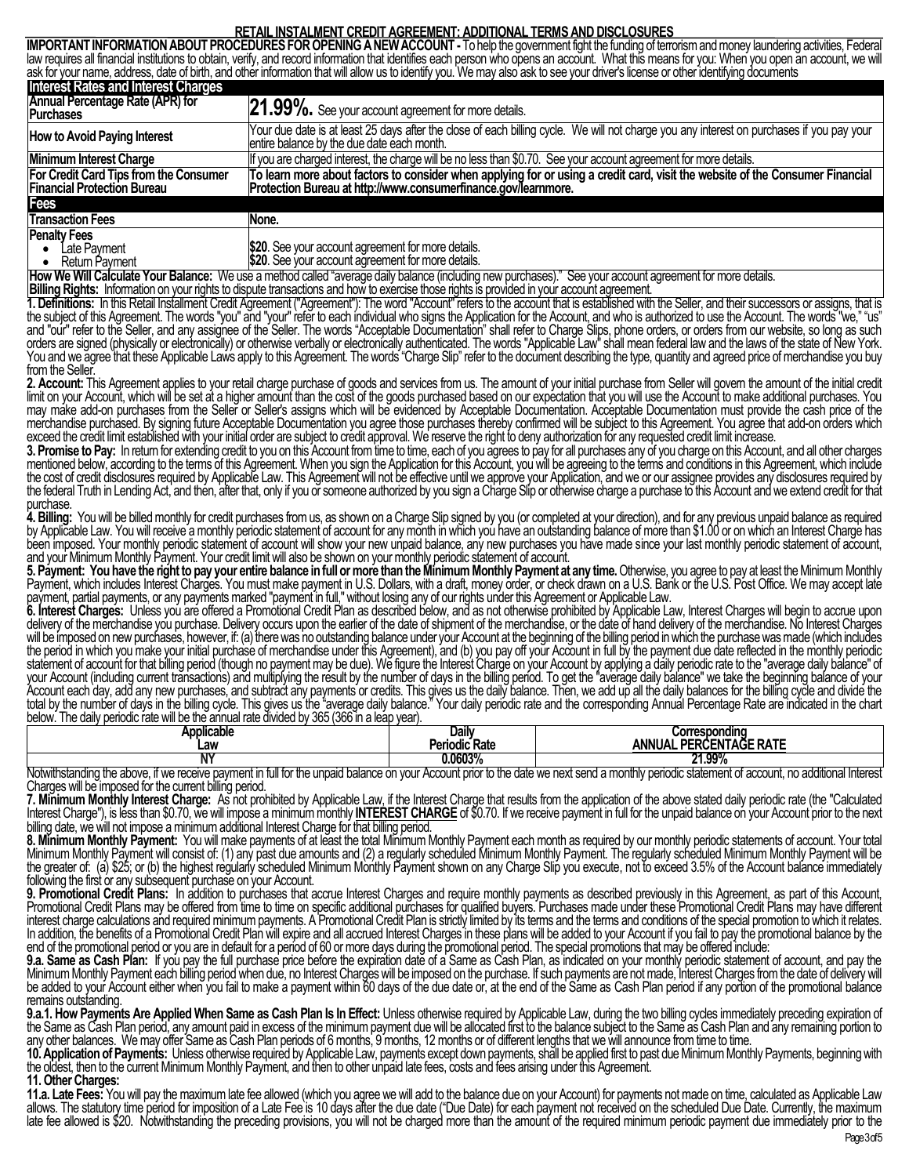### **RETAIL INSTALMENT CREDIT AGREEMENT: ADDITIONAL TERMS AND DISCLOSURES**

**IMPORTANT INFORMATION ABOUT PROCEDURES FOR OPENING A NEW ACCOUNT -** To help the government fight the funding of terrorism and money laundering activities, Federal law requires all financial institutions to obtain, verify, and record information that identifies each person who opens an account. What this means for you: When you open an account, we will ask for your name, address, date of birth, and other information that will allow us to identify you. We may also ask to see your driver's license or other identifying documents **Interest Rates and Interest Charges Annual Percentage Rate (APR) for 21.99%.** See your account agreement for more details. How to Avoid Paying Interest **Your due date is at least 25 days after** the close of each billing cycle. We will not charge you any interest on purchases if you pay your entire balance by the due date each month **Minimum Interest Charge If you are charged interest, the charge will be no less than \$0.70. See your account agreement for more details. For Credit Card Tips from the Consumer Financial Protection Bureau To learn more about factors to consider when applying for or using a credit card, visit the website of the Consumer Financial Protection Bureau at http://www.consumerfinance.gov/learnmore. Fees Transaction Fees** None. **Penalty Fees** • Late Payment • Return Payment **\$20**. See your account agreement for more details. \$20. See your account agreement for more details.

**How We Will Calculate Your Balance:** We use a method called "average daily balance (including new purchases)." See your account agreement for more details.

**Billing Rights:** Information on your rights to dispute transactions and how to exercise those rights is provided in your account agreement.

**1. Definitions:** In this Retail Installment Credit Agreement ("Agreement"): The word "Account" refers to the account that is established with the Seller, and their successors or assigns, that is the subject of this Agreement. The words "you" and "your" refer to each individual who signs the Application for the Account, and who is authorized to use the Account. The words "we," "us" and "our" refer to the Seller, and any assignee of the Seller. The words "Acceptable Documentation" shall refer to Charge Slips, phone orders, or orders from our website, so long as such orders are signed (physically or electronically) or otherwise verbally or electronically authenticated. The words "Applicable Law" shall mean federal law and the laws of the state of New York. You and we agree that these Applicable Laws apply to this Agreement. The words "Charge Slip" refer to the document describing the type, quantity and agreed price of merchandise you buy from the Seller.

**2. Account:** This Agreement applies to your retail charge purchase of goods and services from us. The amount of your initial purchase from Seller will govern the amount of the initial credit limit on your Account, which will be set at a higher amount than the cost of the goods purchased based on our expectation that you will use the Account to make additional purchases. You may make add-on purchases from the Seller or Seller's assigns which will be evidenced by Acceptable Documentation. Acceptable Documentation must provide the cash price of the merchandise purchased. By signing future Acceptable Documentation you agree those purchases thereby confirmed will be subject to this Agreement. You agree that add-on orders which exceed the credit limit established with your initial order are subject to credit approval. We reserve the right to deny authorization for any requested credit limit increase.

**3. Promise to Pay:** In return for extending credit to you on this Account from time to time, each of you agrees to pay for all purchases any of you charge on this Account, and all other charges mentioned below, according to the terms of this Agreement. When you sign the Application for this Account, you will be agreeing to the terms and conditions in this Agreement, which include the cost of credit disclosures required by Applicable Law. This Agreement will not be effective until we approve your Application, and we or our assignee provides any disclosures required by the federal Truth in Lending Act, and then, after that, only if you or someone authorized by you sign a Charge Slip or otherwise charge a purchase to this Account and we extend credit for that purchase.

**4. Billing:** You will be billed monthly for credit purchases from us, as shown on a Charge Slip signed by you (or completed at your direction), and for any previous unpaid balance as required by Applicable Law. You will receive a monthly periodic statement of account for any month in which you have an outstanding balance of more than \$1.00 or on which an Interest Charge has been imposed. Your monthly periodic statement of account will show your new unpaid balance, any new purchases you have made since your last monthly periodic statement of account, and your Minimum Monthly Payment. Your credit limit will also be shown on your monthly periodic statement of account.

**5. Payment: You have the right to pay your entire balance in full or more than the Minimum Monthly Payment at any time.**Otherwise, you agree to pay at least the Minimum Monthly Payment, which includes Interest Charges. You must make payment in U.S. Dollars, with a draft, money order, or check drawn on a U.S. Bank or the U.S. Post Office. We may accept late payment, partial payments, or any payments marked "payment in full," without losing any of our rights under this Agreement or Applicable Law.

**6. Interest Charges:** Unless you are offered a Promotional Credit Plan as described below, and as not otherwise prohibited by Applicable Law, Interest Charges will begin to accrue upon delivery of the merchandise you purchase. Delivery occurs upon the earlier of the date of shipment of the merchandise, or the date of hand delivery of the merchandise. No Interest Charges will be imposed on new purchases, however, if: (a) there was no outstanding balance under your Account at the beginning of the billing period in which the purchase was made (which includes the period in which you make your initial purchase of merchandise under this Agreement), and (b) you pay off your Account in full by the payment due date reflected in the monthly periodic statement of account for that billing period (though no payment may be due). We figure the Interest Charge on your Account by applying a daily periodic rate to the "average daily balance" of your Account (including current transactions) and multiplying the result by the number of days in the billing period. To get the "average daily balance" we take the beginning balance of your Account each day, add any new purchases, and subtract any payments or credits. This gives us the daily balance. Then, we add up all the daily balances for the billing cycle and divide the total by the number of days in the billing cycle. This gives us the "average daily balance." Your daily periodic rate and the corresponding Annual Percentage Rate are indicated in the chart below. The daily periodic rate will be the annual rate divided by 365 (366 in a leap year).

| Applicable | Daily         | Corresponding                                                        |
|------------|---------------|----------------------------------------------------------------------|
| ∟aw        | Periodic Rate | DЕ<br>-----<br><b>ANNUAL</b><br>ுட<br>AGL<br>…⊢N '<br>: KAI L<br>-кш |
| .          | 0.0603%       | 1.99%<br>n,                                                          |

Notwithstanding the above, if we receive payment in full for the unpaid balance on your Account prior to the date we next send a monthly periodic statement of account, no additional Interest Charges will be imposed for the current billing period.

**7. Minimum Monthly Interest Charge:** As not prohibited by Applicable Law, if the Interest Charge that results from the application of the above stated daily periodic rate (the "Calculated Interest Charge"), is less than \$0.70, we will impose a minimum monthly **INTEREST CHARGE** of \$0.70. If we receive payment in full for the unpaid balance on your Account prior to the next billing date, we will not impose a minimum additional Interest Charge for that billing period.

**8. Minimum Monthly Payment:** You will make payments of at least the total Minimum Monthly Payment each month as required by our monthly periodic statements of account. Your total Minimum Monthly Payment will consist of: (1) any past due amounts and (2) a regularly scheduled Minimum Monthly Payment. The regularly scheduled Minimum Monthly Payment will be the greater of: (a) \$25; or (b) the highest regularly scheduled Minimum Monthly Payment shown on any Charge Slip you execute, not to exceed 3.5% of the Account balance immediately following the first or any subsequent purchase on your Account.

**9. Promotional Credit Plans:** In addition to purchases that accrue Interest Charges and require monthly payments as described previously in this Agreement, as part of this Account, Promotional Credit Plans may be offered from time to time on specific additional purchases for qualified buyers. Purchases made under these Promotional Credit Plans may have different interest charge calculations and required minimum payments. A Promotional Credit Plan is strictly limited by its terms and the terms and conditions of the special promotion to which it relates. In addition, the benefits of a Promotional Credit Plan will expire and all accrued Interest Charges in these plans will be added to your Account if you fail to pay the promotional balance by the end of the promotional period or you are in default for a period of 60 or more days during the promotional period. The special promotions that may be offered include:

**9.a. Same as Cash Plan:** If you pay the full purchase price before the expiration date of a Same as Cash Plan, as indicated on your monthly periodic statement of account, and pay the Minimum Monthly Payment each billing period when due, no Interest Charges will be imposed on the purchase. If such payments are not made, Interest Charges from the date of delivery will be added to your Account either when you fail to make a payment within 60 days of the due date or, at the end of the Same as Cash Plan period if any portion of the promotional balance remains outstanding.

**9.a.1. How Payments Are Applied When Same as Cash Plan Is In Effect:** Unless otherwise required by Applicable Law, during the two billing cycles immediately preceding expiration of the Same as Cash Plan period, any amount paid in excess of the minimum payment due will be allocated first to the balance subject to the Same as Cash Plan and any remaining portion to any other balances. We may offer Same as Cash Plan periods of 6 months, 9 months, 12 months or of different lengths that we will announce from time to time.

**10. Application of Payments:** Unless otherwise required by Applicable Law, payments except down payments, shall be applied first to past due Minimum Monthly Payments, beginning with the oldest, then to the current Minimum Monthly Payment, and then to other unpaid late fees, costs and fees arising under this Agreement.

**11. Other Charges:**

**11.a. Late Fees:** You will pay the maximum late fee allowed (which you agree we will add to the balance due on your Account) for payments not made on time, calculated as Applicable Law allows. The statutory time period for imposition of a Late Fee is 10 days after the due date ("Due Date) for each payment not received on the scheduled Due Date. Currently, the maximum late fee allowed is \$20. Notwithstanding the preceding provisions, you will not be charged more than the amount of the required minimum periodic payment due immediately prior to the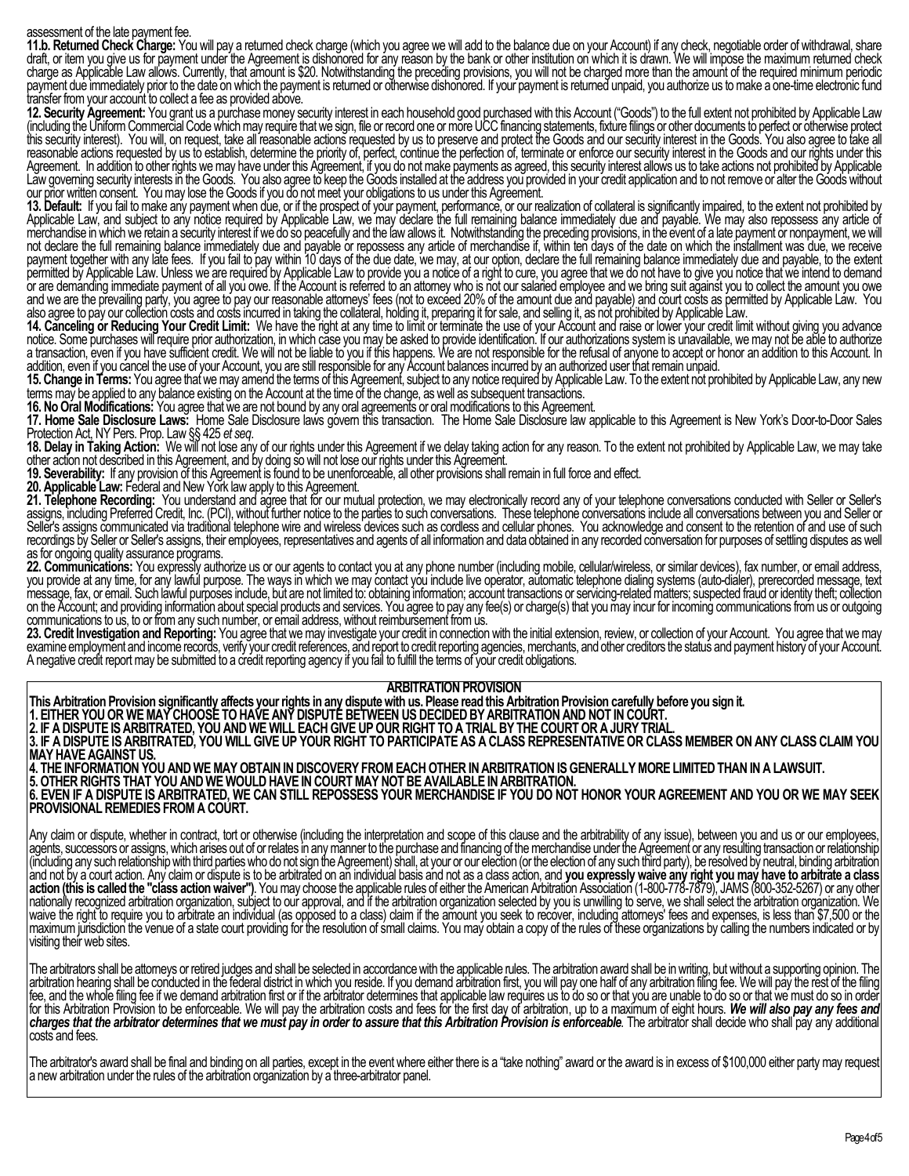#### assessment of the late payment fee.

**11.b. Returned Check Charge:** You will pay a returned check charge (which you agree we will add to the balance due on your Account) if any check, negotiable order of withdrawal, share draft, or item you give us for payment under the Agreement is dishonored for any reason by the bank or other institution on which it is drawn. We will impose the maximum returned check charge as Applicable Law allows. Currently, that amount is \$20. Notwithstanding the preceding provisions, you will not be charged more than the amount of the required minimum periodic payment due immediately prior to the date on which the payment is returned or otherwise dishonored. If your payment is returned unpaid, you authorize us to make a one-time electronic fund transfer from your account to collect a fee as provided above.

**12. Security Agreement:** You grant us a purchase money security interest in each household good purchased with this Account ("Goods") to the full extent not prohibited by Applicable Law (including the Uniform Commercial Code which may require that we sign, file or record one or more UCC financing statements, fixture filings or other documents to perfect or otherwise protect this security interest). You will, on request, take all reasonable actions requested by us to preserve and protect the Goods and our security interest in the Goods. You also agree to take all reasonable actions requested by us to establish, determine the priority of, perfect, continue the perfection of, terminate or enforce our security interest in the Goods and our rights under this Agreement. In addition to other rights we may have under this Agreement, if you do not make payments as agreed, this security interest allows us to take actions not prohibited by Applicable Law governing security interests in the Goods. You also agree to keep the Goods installed at the address you provided in your credit application and to not remove or alter the Goods without our prior written consent. You may lose the Goods if you do not meet your obligations to us under this Agreement.

**13. Default:** If you fail to make any payment when due, or if the prospect of your payment, performance, or our realization of collateral is significantly impaired, to the extent not prohibited by Applicable Law, and subject to any notice required by Applicable Law, we may declare the full remaining balance immediately due and payable. We may also repossess any article of merchandise in which we retain a security interest if we do so peacefully and the law allows it. Notwithstanding the preceding provisions, in the event of a late payment or nonpayment, we will not declare the full remaining balance immediately due and payable or repossess any article of merchandise if, within ten days of the date on which the installment was due, we receive payment together with any late fees. If you fail to pay within 10 days of the due date, we may, at our option, declare the full remaining balance immediately due and payable, to the extent permitted by Applicable Law. Unless we are required by Applicable Law to provide you a notice of a right to cure, you agree that we do not have to give you notice that we intend to demand or are demanding immediate payment of all you owe. If the Account is referred to an attorney who is not our salaried employee and we bring suit against you to collect the amount you owe and we are the prevailing party, you agree to pay our reasonable attorneys' fees (not to exceed 20% of the amount due and payable) and court costs as permitted by Applicable Law. You also agree to pay our collection costs and costs incurred in taking the collateral, holding it, preparing it for sale, and selling it, as not prohibited by Applicable Law.

**14. Canceling or Reducing Your Credit Limit:** We have the right at any time to limit or terminate the use of your Account and raise or lower your credit limit without giving you advance notice. Some purchases will require prior authorization, in which case you may be asked to provide identification. If our authorizations system is unavailable, we may not be able to authorize a transaction, even if you have sufficient credit. We will not be liable to you if this happens. We are not responsible for the refusal of anyone to accept or honor an addition to this Account. In addition, even if you cancel the use of your Account, you are still responsible for any Account balances incurred by an authorized user that remain unpaid.

**15. Change in Terms:** You agree that we may amend the terms of this Agreement, subject to any notice required by Applicable Law. To the extent not prohibited by Applicable Law, any new terms may be applied to any balance existing on the Account at the time of the change, as well as subsequent transactions.

**16. No Oral Modifications:** You agree that we are not bound by any oral agreements or oral modifications to this Agreement.

**17. Home Sale Disclosure Laws:** Home Sale Disclosure laws govern this transaction. The Home Sale Disclosure law applicable to this Agreement is New York's Door-to-Door Sales Protection Act, NY Pers. Prop. Law §§ 425 *et seq*.

**18. Delay in Taking Action:** We will not lose any of our rights under this Agreement if we delay taking action for any reason. To the extent not prohibited by Applicable Law, we may take other action not described in this Agreement, and by doing so will not lose our rights under this Agreement.

**19. Severability:** If any provision of this Agreement is found to be unenforceable, all other provisions shall remain in full force and effect.

**20. Applicable Law:** Federal and New York law apply to this Agreement.

**21. Telephone Recording:** You understand and agree that for our mutual protection, we may electronically record any of your telephone conversations conducted with Seller or Seller's assigns, including Preferred Credit, Inc. (PCI), without further notice to the parties to such conversations. These telephone conversations include all conversations between you and Seller or Seller's assigns communicated via traditional telephone wire and wireless devices such as cordless and cellular phones. You acknowledge and consent to the retention of and use of such recordings by Seller or Seller's assigns, their employees, representatives and agents of all information and data obtained in any recorded conversation for purposes of settling disputes as well as for ongoing quality assurance programs.

**22. Communications:** You expressly authorize us or our agents to contact you at any phone number (including mobile, cellular/wireless, or similar devices), fax number, or email address, you provide at any time, for any lawful purpose. The ways in which we may contact you include live operator, automatic telephone dialing systems (auto-dialer), prerecorded message, text message, fax, or email. Such lawful purposes include, but are not limited to: obtaining information; account transactions or servicing-related matters; suspected fraud or identity theft; collection on the Account; and providing information about special products and services. You agree to pay any fee(s) or charge(s) that you may incur for incoming communications from us or outgoing communications to us, to or from any such number, or email address, without reimbursement from us.

**23. Credit Investigation and Reporting:** You agree that we may investigate your credit in connection with the initial extension, review, or collection of your Account. You agree that we may examine employment and income records, verify your credit references, and report to credit reporting agencies, merchants, and other creditors the status and payment history of your Account. A negative credit report may be submitted to a credit reporting agency if you fail to fulfill the terms of your credit obligations.

#### **ARBITRATION PROVISION**

**This Arbitration Provision significantly affects your rights in any dispute with us. Please read this Arbitration Provision carefully before you sign it. 1. EITHER YOU OR WE MAY CHOOSE TO HAVE ANY DISPUTE BETWEEN US DECIDED BY ARBITRATION AND NOT IN COURT. 2. IF A DISPUTE IS ARBITRATED, YOU AND WE WILL EACH GIVE UP OUR RIGHT TO A TRIAL BY THE COURT OR A JURY TRIAL. 3. IF A DISPUTE IS ARBITRATED, YOU WILL GIVE UP YOUR RIGHT TO PARTICIPATE AS A CLASS REPRESENTATIVE OR CLASS MEMBER ON ANY CLASS CLAIM YOU MAY HAVE AGAINST US. 4. THE INFORMATION YOU AND WE MAY OBTAIN IN DISCOVERY FROM EACH OTHER IN ARBITRATION IS GENERALLY MORE LIMITED THAN IN A LAWSUIT.**

**5. OTHER RIGHTS THAT YOU AND WE WOULD HAVE IN COURT MAY NOT BE AVAILABLE IN ARBITRATION. 6. EVEN IF A DISPUTE IS ARBITRATED, WE CAN STILL REPOSSESS YOUR MERCHANDISE IF YOU DO NOT HONOR YOUR AGREEMENT AND YOU OR WE MAY SEEK PROVISIONAL REMEDIES FROM A COURT.**

Any claim or dispute, whether in contract, tort or otherwise (including the interpretation and scope of this clause and the arbitrability of any issue), between you and us or our employees agents, successors or assigns, which arises out of or relates in any manner to the purchase and financing of the merchandise under the Agreement or any resulting transaction or relationship (including any such relationship with third parties who do not sign the Agreement) shall, at your or our election (or the election of any such third party), be resolved by neutral, binding arbitration and not by a court action. Any claim or dispute is to be arbitrated on an individual basis and not as a class action, and **you expressly waive any right you may have to arbitrate a class action (this is called the "class actionwaiver")**. You may choose the applicable rules of either the American Arbitration Association (1-800-778-7879), JAMS (800-352-5267) or any other nationally recognized arbitration organization, subject to our approval, and if the arbitration organization selected by you is unwilling to serve, we shall select the arbitration organization. We waive the right to require you to arbitrate an individual (as opposed to a class) claim if the amount you seek to recover, including attorneys' fees and expenses, is less than \$7,500 or the maximum jurisdiction the venue of a state court providing for the resolution of small claims. You may obtain a copy of the rules of these organizations by calling the numbers indicated or by visiting their web sites.

The arbitrators shall be attorneys or retired judges and shall be selected in accordance with the applicable rules. The arbitration award shall be in writing, but without a supporting opinion. The arbitration hearing shall be conducted in the federal district in which you reside. If you demand arbitration first, you will pay one half of any arbitration filing fee. We will pay the rest of the filing fee, and the whole filing fee if we demand arbitration first or if the arbitrator determines that applicable law requires us to do so or that you are unable to do so or that we must do so in order for this Arbitration Provision to be enforceable. We will pay the arbitration costs and fees for the first day of arbitration, up to a maximum of eight hours. *We will also pay any fees and charges that the arbitrator determines that we must pay in order to assure that this Arbitration Provision is enforceable.* The arbitrator shall decide who shall pay any additional costs and fees.

The arbitrator's award shall be final and binding on all parties, except in the event where either there is a "take nothing" award or the award is in excess of \$100,000 either party may request a new arbitration under the rules of the arbitration organization by a three-arbitrator panel.